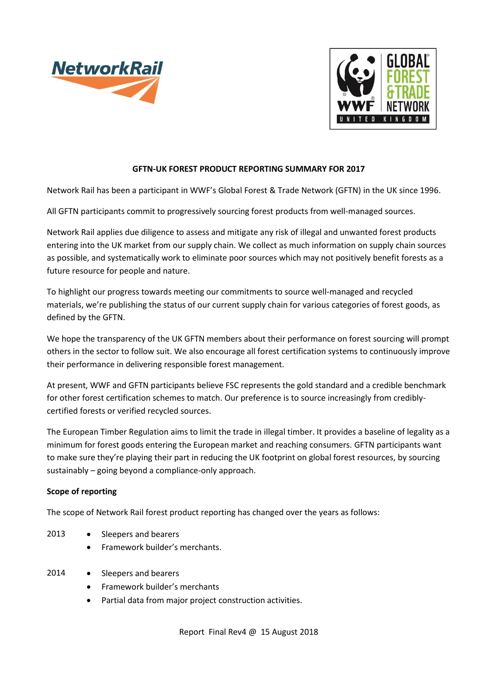



### **GFTN-UK FOREST PRODUCT REPORTING SUMMARY FOR 2017**

Network Rail has been a participant in WWF's Global Forest & Trade Network (GFTN) in the UK since 1996.

All GFTN participants commit to progressively sourcing forest products from well-managed sources.

Network Rail applies due diligence to assess and mitigate any risk of illegal and unwanted forest products entering into the UK market from our supply chain. We collect as much information on supply chain sources as possible, and systematically work to eliminate poor sources which may not positively benefit forests as a future resource for people and nature.

To highlight our progress towards meeting our commitments to source well-managed and recycled materials, we're publishing the status of our current supply chain for various categories of forest goods, as defined by the GFTN.

We hope the transparency of the UK GFTN members about their performance on forest sourcing will prompt others in the sector to follow suit. We also encourage all forest certification systems to continuously improve their performance in delivering responsible forest management.

At present, WWF and GFTN participants believe FSC represents the gold standard and a credible benchmark for other forest certification schemes to match. Our preference is to source increasingly from crediblycertified forests or verified recycled sources.

The European Timber Regulation aims to limit the trade in illegal timber. It provides a baseline of legality as a minimum for forest goods entering the European market and reaching consumers. GFTN participants want to make sure they're playing their part in reducing the UK footprint on global forest resources, by sourcing sustainably – going beyond a compliance-only approach.

#### **Scope of reporting**

The scope of Network Rail forest product reporting has changed over the years as follows:

- 2013 Sleepers and bearers
	- Framework builder's merchants.
- 2014 Sleepers and bearers
	- Framework builder's merchants
	- Partial data from major project construction activities.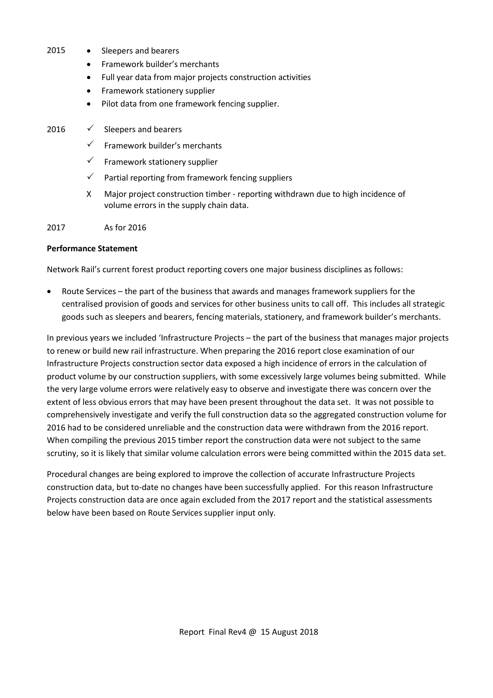- 2015 Sleepers and bearers
	- Framework builder's merchants
	- Full year data from major projects construction activities
	- Framework stationery supplier
	- Pilot data from one framework fencing supplier.
- 2016  $\checkmark$  Sleepers and bearers
	- $\checkmark$  Framework builder's merchants
	- $\checkmark$  Framework stationery supplier
	- $\checkmark$  Partial reporting from framework fencing suppliers
	- X Major project construction timber reporting withdrawn due to high incidence of volume errors in the supply chain data.

2017 As for 2016

#### **Performance Statement**

Network Rail's current forest product reporting covers one major business disciplines as follows:

• Route Services – the part of the business that awards and manages framework suppliers for the centralised provision of goods and services for other business units to call off. This includes all strategic goods such as sleepers and bearers, fencing materials, stationery, and framework builder's merchants.

In previous years we included 'Infrastructure Projects – the part of the business that manages major projects to renew or build new rail infrastructure. When preparing the 2016 report close examination of our Infrastructure Projects construction sector data exposed a high incidence of errors in the calculation of product volume by our construction suppliers, with some excessively large volumes being submitted. While the very large volume errors were relatively easy to observe and investigate there was concern over the extent of less obvious errors that may have been present throughout the data set. It was not possible to comprehensively investigate and verify the full construction data so the aggregated construction volume for 2016 had to be considered unreliable and the construction data were withdrawn from the 2016 report. When compiling the previous 2015 timber report the construction data were not subject to the same scrutiny, so it is likely that similar volume calculation errors were being committed within the 2015 data set.

Procedural changes are being explored to improve the collection of accurate Infrastructure Projects construction data, but to-date no changes have been successfully applied. For this reason Infrastructure Projects construction data are once again excluded from the 2017 report and the statistical assessments below have been based on Route Services supplier input only.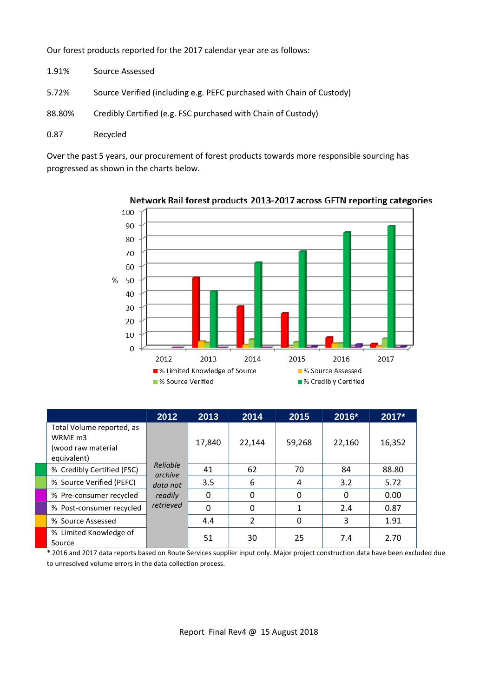Our forest products reported for the 2017 calendar year are as follows:

- 1.91% Source Assessed
- 5.72% Source Verified (including e.g. PEFC purchased with Chain of Custody)
- 88.80% Credibly Certified (e.g. FSC purchased with Chain of Custody)
- 0.87 Recycled

Over the past 5 years, our procurement of forest products towards more responsible sourcing has progressed as shown in the charts below.



Network Rail forest products 2013-2017 across GFTN reporting categories

|                                                                           | 2012                                                    | 2013     | 2014           | 2015     | 2016*  | 2017*  |
|---------------------------------------------------------------------------|---------------------------------------------------------|----------|----------------|----------|--------|--------|
| Total Volume reported, as<br>WRME m3<br>(wood raw material<br>equivalent) | Reliable<br>archive<br>data not<br>readily<br>retrieved | 17,840   | 22,144         | 59,268   | 22,160 | 16,352 |
| % Credibly Certified (FSC)                                                |                                                         | 41       | 62             | 70       | 84     | 88.80  |
| % Source Verified (PEFC)                                                  |                                                         | 3.5      | 6              | 4        | 3.2    | 5.72   |
| % Pre-consumer recycled                                                   |                                                         | 0        | 0              | $\Omega$ | 0      | 0.00   |
| % Post-consumer recycled                                                  |                                                         | $\Omega$ | 0              |          | 2.4    | 0.87   |
| % Source Assessed                                                         |                                                         | 4.4      | $\overline{2}$ | 0        | 3      | 1.91   |
| % Limited Knowledge of<br>Source                                          |                                                         | 51       | 30             | 25       | 7.4    | 2.70   |

\* 2016 and 2017 data reports based on Route Services supplier input only. Major project construction data have been excluded due to unresolved volume errors in the data collection process.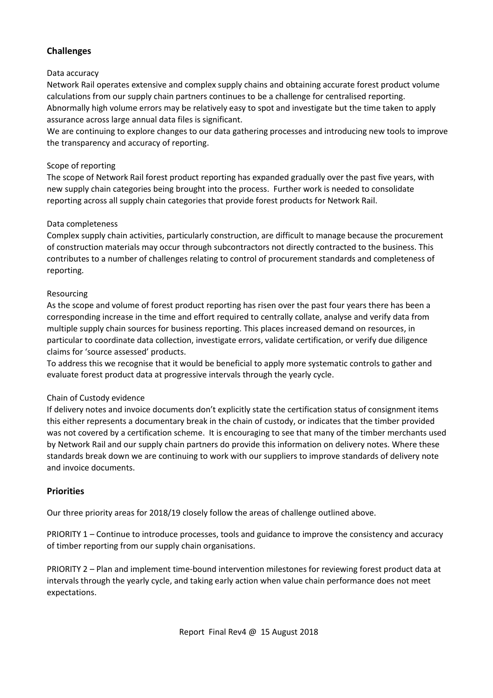# **Challenges**

### Data accuracy

Network Rail operates extensive and complex supply chains and obtaining accurate forest product volume calculations from our supply chain partners continues to be a challenge for centralised reporting. Abnormally high volume errors may be relatively easy to spot and investigate but the time taken to apply assurance across large annual data files is significant.

We are continuing to explore changes to our data gathering processes and introducing new tools to improve the transparency and accuracy of reporting.

### Scope of reporting

The scope of Network Rail forest product reporting has expanded gradually over the past five years, with new supply chain categories being brought into the process. Further work is needed to consolidate reporting across all supply chain categories that provide forest products for Network Rail.

### Data completeness

Complex supply chain activities, particularly construction, are difficult to manage because the procurement of construction materials may occur through subcontractors not directly contracted to the business. This contributes to a number of challenges relating to control of procurement standards and completeness of reporting.

### Resourcing

As the scope and volume of forest product reporting has risen over the past four years there has been a corresponding increase in the time and effort required to centrally collate, analyse and verify data from multiple supply chain sources for business reporting. This places increased demand on resources, in particular to coordinate data collection, investigate errors, validate certification, or verify due diligence claims for 'source assessed' products.

To address this we recognise that it would be beneficial to apply more systematic controls to gather and evaluate forest product data at progressive intervals through the yearly cycle.

## Chain of Custody evidence

If delivery notes and invoice documents don't explicitly state the certification status of consignment items this either represents a documentary break in the chain of custody, or indicates that the timber provided was not covered by a certification scheme. It is encouraging to see that many of the timber merchants used by Network Rail and our supply chain partners do provide this information on delivery notes. Where these standards break down we are continuing to work with our suppliers to improve standards of delivery note and invoice documents.

## **Priorities**

Our three priority areas for 2018/19 closely follow the areas of challenge outlined above.

PRIORITY 1 – Continue to introduce processes, tools and guidance to improve the consistency and accuracy of timber reporting from our supply chain organisations.

PRIORITY 2 – Plan and implement time-bound intervention milestones for reviewing forest product data at intervals through the yearly cycle, and taking early action when value chain performance does not meet expectations.